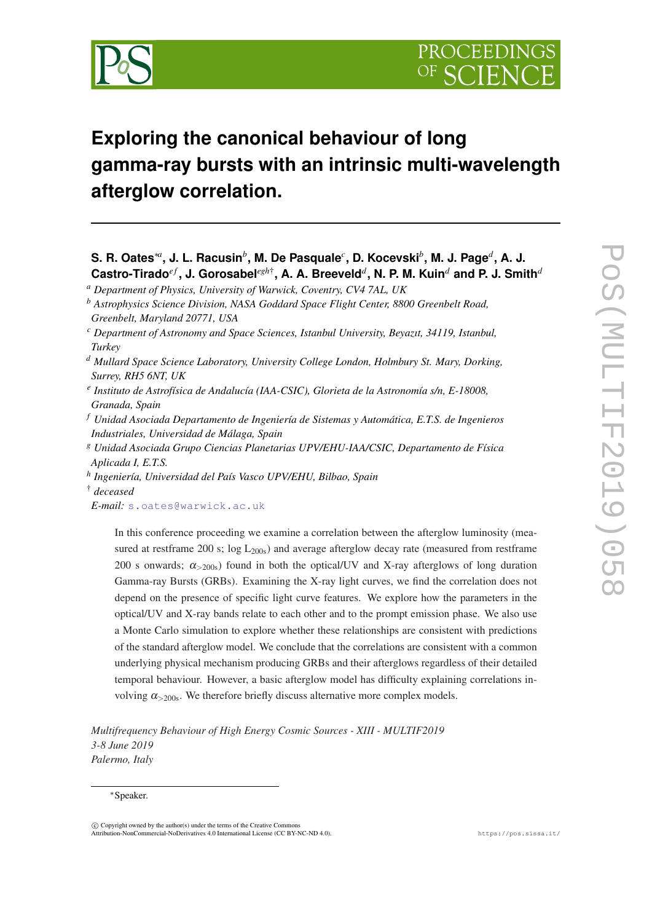

# **Exploring the canonical behaviour of long gamma-ray bursts with an intrinsic multi-wavelength afterglow correlation.**

- *<sup>d</sup> Mullard Space Science Laboratory, University College London, Holmbury St. Mary, Dorking, Surrey, RH5 6NT, UK*
- *e Instituto de Astrofísica de Andalucía (IAA-CSIC), Glorieta de la Astronomía s/n, E-18008, Granada, Spain*
- *<sup>f</sup> Unidad Asociada Departamento de Ingeniería de Sistemas y Automática, E.T.S. de Ingenieros Industriales, Universidad de Málaga, Spain*
- *<sup>g</sup> Unidad Asociada Grupo Ciencias Planetarias UPV/EHU-IAA/CSIC, Departamento de Física Aplicada I, E.T.S.*
- *h Ingeniería, Universidad del País Vasco UPV/EHU, Bilbao, Spain*

† *deceased*

*E-mail:* [s.oates@warwick.ac.uk](mailto:s.oates@warwick.ac.uk)

In this conference proceeding we examine a correlation between the afterglow luminosity (measured at restframe 200 s;  $\log L_{200s}$ ) and average afterglow decay rate (measured from restframe 200 s onwards;  $\alpha_{>200s}$ ) found in both the optical/UV and X-ray afterglows of long duration Gamma-ray Bursts (GRBs). Examining the X-ray light curves, we find the correlation does not depend on the presence of specific light curve features. We explore how the parameters in the optical/UV and X-ray bands relate to each other and to the prompt emission phase. We also use a Monte Carlo simulation to explore whether these relationships are consistent with predictions of the standard afterglow model. We conclude that the correlations are consistent with a common underlying physical mechanism producing GRBs and their afterglows regardless of their detailed temporal behaviour. However, a basic afterglow model has difficulty explaining correlations involving  $\alpha_{>200s}$ . We therefore briefly discuss alternative more complex models.

*Multifrequency Behaviour of High Energy Cosmic Sources - XIII - MULTIF2019 3-8 June 2019 Palermo, Italy*

### <sup>∗</sup>Speaker.

**S. R. Oates**∗*<sup>a</sup>* **, J. L. Racusin***<sup>b</sup>* **, M. De Pasquale***<sup>c</sup>* **, D. Kocevski***<sup>b</sup>* **, M. J. Page***<sup>d</sup>* **, A. J.**  $\mathbf{Castro-Tirado}^{ef}, \mathbf{J}$ . Gorosabel $^{egh\dagger}$ , A. A. Breeveld $^d$ , N. P. M. Kuin $^d$  and P. J. Smith $^d$ 

*<sup>a</sup> Department of Physics, University of Warwick, Coventry, CV4 7AL, UK*

*<sup>b</sup> Astrophysics Science Division, NASA Goddard Space Flight Center, 8800 Greenbelt Road, Greenbelt, Maryland 20771, USA*

*<sup>c</sup> Department of Astronomy and Space Sciences, Istanbul University, Beyazıt, 34119, Istanbul, Turkey*

 $\overline{c}$  Copyright owned by the author(s) under the terms of the Creative Commons Attribution-NonCommercial-NoDerivatives 4.0 International License (CC BY-NC-ND 4.0). https://pos.sissa.it/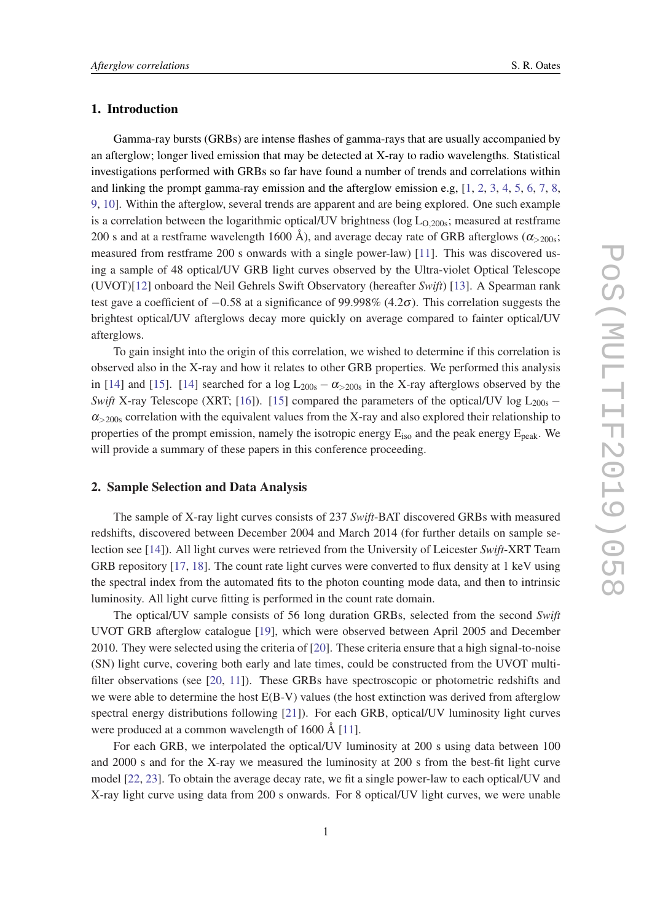## 1. Introduction

Gamma-ray bursts (GRBs) are intense flashes of gamma-rays that are usually accompanied by an afterglow; longer lived emission that may be detected at X-ray to radio wavelengths. Statistical investigations performed with GRBs so far have found a number of trends and correlations within and linking the prompt gamma-ray emission and the afterglow emission e.g,  $[1, 2, 3, 4, 5, 6, 7, 8, 8]$  $[1, 2, 3, 4, 5, 6, 7, 8, 8]$  $[1, 2, 3, 4, 5, 6, 7, 8, 8]$  $[1, 2, 3, 4, 5, 6, 7, 8, 8]$  $[1, 2, 3, 4, 5, 6, 7, 8, 8]$  $[1, 2, 3, 4, 5, 6, 7, 8, 8]$  $[1, 2, 3, 4, 5, 6, 7, 8, 8]$  $[1, 2, 3, 4, 5, 6, 7, 8, 8]$  $[1, 2, 3, 4, 5, 6, 7, 8, 8]$  $[1, 2, 3, 4, 5, 6, 7, 8, 8]$  $[1, 2, 3, 4, 5, 6, 7, 8, 8]$  $[1, 2, 3, 4, 5, 6, 7, 8, 8]$  $[1, 2, 3, 4, 5, 6, 7, 8, 8]$  $[1, 2, 3, 4, 5, 6, 7, 8, 8]$  $[1, 2, 3, 4, 5, 6, 7, 8, 8]$  $[1, 2, 3, 4, 5, 6, 7, 8, 8]$ [9,](#page-9-0) [10\]](#page-9-0). Within the afterglow, several trends are apparent and are being explored. One such example is a correlation between the logarithmic optical/UV brightness ( $log L<sub>O.200s</sub>$ ; measured at restframe 200 s and at a restframe wavelength 1600 Å), and average decay rate of GRB afterglows ( $\alpha_{>200s}$ ; measured from restframe 200 s onwards with a single power-law) [[11](#page-9-0)]. This was discovered using a sample of 48 optical/UV GRB light curves observed by the Ultra-violet Optical Telescope (UVOT)[[12\]](#page-9-0) onboard the Neil Gehrels Swift Observatory (hereafter *Swift*) [\[13](#page-9-0)]. A Spearman rank test gave a coefficient of  $-0.58$  at a significance of 99.998% (4.2 $\sigma$ ). This correlation suggests the brightest optical/UV afterglows decay more quickly on average compared to fainter optical/UV afterglows.

To gain insight into the origin of this correlation, we wished to determine if this correlation is observed also in the X-ray and how it relates to other GRB properties. We performed this analysis in [[14\]](#page-9-0) and [[15\]](#page-9-0). [14] searched for a log  $L_{200s} - \alpha_{>200s}$  in the X-ray afterglows observed by the *Swift* X-ray Telescope (XRT; [[16\]](#page-9-0)). [[15\]](#page-9-0) compared the parameters of the optical/UV log L<sub>200s</sub> −  $\alpha_{>200s}$  correlation with the equivalent values from the X-ray and also explored their relationship to properties of the prompt emission, namely the isotropic energy  $E_{iso}$  and the peak energy  $E_{peak}$ . We will provide a summary of these papers in this conference proceeding.

# 2. Sample Selection and Data Analysis

The sample of X-ray light curves consists of 237 *Swift*-BAT discovered GRBs with measured redshifts, discovered between December 2004 and March 2014 (for further details on sample selection see [\[14\]](#page-9-0)). All light curves were retrieved from the University of Leicester *Swift*-XRT Team GRB repository [[17,](#page-9-0) [18](#page-9-0)]. The count rate light curves were converted to flux density at 1 keV using the spectral index from the automated fits to the photon counting mode data, and then to intrinsic luminosity. All light curve fitting is performed in the count rate domain.

The optical/UV sample consists of 56 long duration GRBs, selected from the second *Swift* UVOT GRB afterglow catalogue [[19](#page-9-0)], which were observed between April 2005 and December 2010. They were selected using the criteria of [[20\]](#page-9-0). These criteria ensure that a high signal-to-noise (SN) light curve, covering both early and late times, could be constructed from the UVOT multifilter observations (see [[20,](#page-9-0) [11](#page-9-0)]). These GRBs have spectroscopic or photometric redshifts and we were able to determine the host E(B-V) values (the host extinction was derived from afterglow spectral energy distributions following [[21\]](#page-9-0)). For each GRB, optical/UV luminosity light curves were produced at a common wavelength of 1600 Å [[11\]](#page-9-0).

For each GRB, we interpolated the optical/UV luminosity at 200 s using data between 100 and 2000 s and for the X-ray we measured the luminosity at 200 s from the best-fit light curve model [[22,](#page-9-0) [23](#page-9-0)]. To obtain the average decay rate, we fit a single power-law to each optical/UV and X-ray light curve using data from 200 s onwards. For 8 optical/UV light curves, we were unable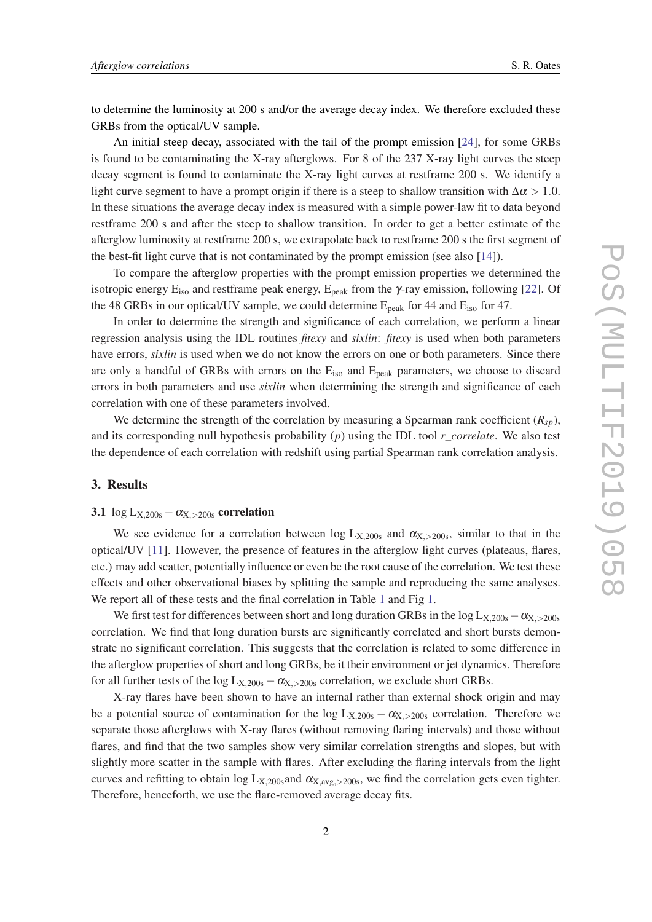<span id="page-2-0"></span>to determine the luminosity at 200 s and/or the average decay index. We therefore excluded these GRBs from the optical/UV sample.

An initial steep decay, associated with the tail of the prompt emission [[24\]](#page-10-0), for some GRBs is found to be contaminating the X-ray afterglows. For 8 of the 237 X-ray light curves the steep decay segment is found to contaminate the X-ray light curves at restframe 200 s. We identify a light curve segment to have a prompt origin if there is a steep to shallow transition with  $\Delta \alpha > 1.0$ . In these situations the average decay index is measured with a simple power-law fit to data beyond restframe 200 s and after the steep to shallow transition. In order to get a better estimate of the afterglow luminosity at restframe 200 s, we extrapolate back to restframe 200 s the first segment of the best-fit light curve that is not contaminated by the prompt emission (see also [[14\]](#page-9-0)).

To compare the afterglow properties with the prompt emission properties we determined the isotropic energy  $E_{iso}$  and restframe peak energy,  $E_{peak}$  from the  $\gamma$ -ray emission, following [[22\]](#page-9-0). Of the 48 GRBs in our optical/UV sample, we could determine  $E_{peak}$  for 44 and  $E_{iso}$  for 47.

In order to determine the strength and significance of each correlation, we perform a linear regression analysis using the IDL routines *fitexy* and *sixlin*: *fitexy* is used when both parameters have errors, *sixlin* is used when we do not know the errors on one or both parameters. Since there are only a handful of GRBs with errors on the  $E<sub>iso</sub>$  and  $E<sub>peak</sub>$  parameters, we choose to discard errors in both parameters and use *sixlin* when determining the strength and significance of each correlation with one of these parameters involved.

We determine the strength of the correlation by measuring a Spearman rank coefficient (*Rsp*), and its corresponding null hypothesis probability (*p*) using the IDL tool *r\_correlate*. We also test the dependence of each correlation with redshift using partial Spearman rank correlation analysis.

## 3. Results

#### 3.1  $\log L_{X,200s} - \alpha_{X,>200s}$  correlation

We see evidence for a correlation between log  $L_{X,200s}$  and  $\alpha_{X,>200s}$ , similar to that in the optical/UV [[11\]](#page-9-0). However, the presence of features in the afterglow light curves (plateaus, flares, etc.) may add scatter, potentially influence or even be the root cause of the correlation. We test these effects and other observational biases by splitting the sample and reproducing the same analyses. We report all of these tests and the final correlation in Table [1](#page-3-0) and Fig [1.](#page-3-0)

We first test for differences between short and long duration GRBs in the log L<sub>X,200s</sub> –  $\alpha_{X,000s}$ correlation. We find that long duration bursts are significantly correlated and short bursts demonstrate no significant correlation. This suggests that the correlation is related to some difference in the afterglow properties of short and long GRBs, be it their environment or jet dynamics. Therefore for all further tests of the log  $L_{X,200s} - \alpha_{X,>200s}$  correlation, we exclude short GRBs.

X-ray flares have been shown to have an internal rather than external shock origin and may be a potential source of contamination for the log  $L_{X,200s} - \alpha_{X,>200s}$  correlation. Therefore we separate those afterglows with X-ray flares (without removing flaring intervals) and those without flares, and find that the two samples show very similar correlation strengths and slopes, but with slightly more scatter in the sample with flares. After excluding the flaring intervals from the light curves and refitting to obtain log  $L_{X,200s}$  and  $\alpha_{X,avg.}>200s$ , we find the correlation gets even tighter. Therefore, henceforth, we use the flare-removed average decay fits.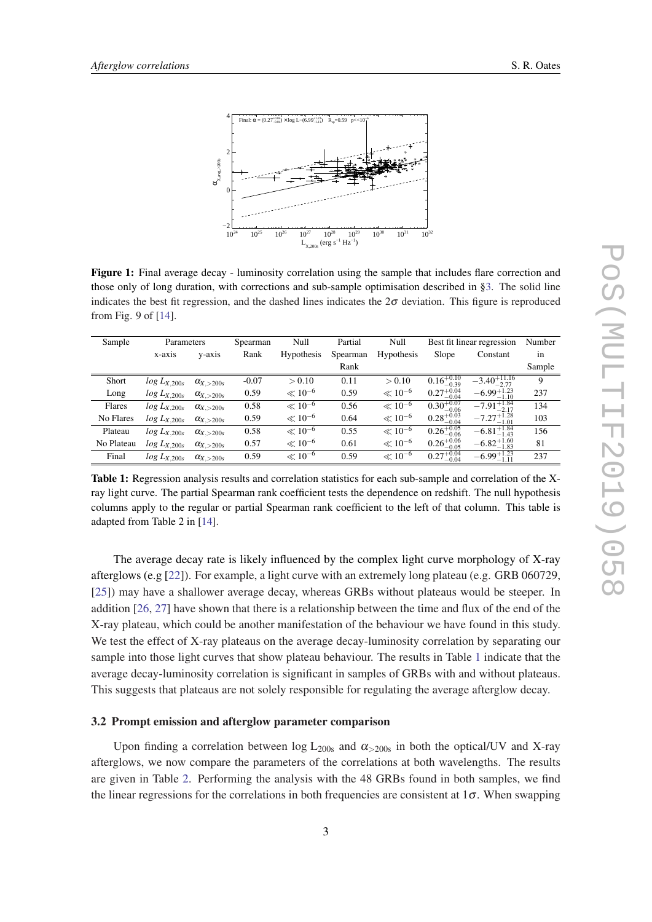<span id="page-3-0"></span>

Figure 1: Final average decay - luminosity correlation using the sample that includes flare correction and those only of long duration, with corrections and sub-sample optimisation described in §[3.](#page-2-0) The solid line indicates the best fit regression, and the dashed lines indicates the  $2\sigma$  deviation. This figure is reproduced from Fig. 9 of [[14\]](#page-9-0).

| Sample     | Parameters       |                    | Spearman | Null              | Partial  | Null              | Best fit linear regression |                          | Number |
|------------|------------------|--------------------|----------|-------------------|----------|-------------------|----------------------------|--------------------------|--------|
|            | x-axis           | y-axis             | Rank     | <b>Hypothesis</b> | Spearman | <b>Hypothesis</b> | Slope                      | Constant                 | in     |
|            |                  |                    |          |                   | Rank     |                   |                            |                          | Sample |
| Short      | $log L_{X,200s}$ | $\alpha_{X,>200s}$ | $-0.07$  | > 0.10            | 0.11     | > 0.10            | $0.16_{-0.39}^{+0.10}$     | $-3.40^{+11.16}_{-2.77}$ | 9      |
| Long       | $log L_{X,200s}$ | $\alpha_{X,>200s}$ | 0.59     | $\ll 10^{-6}$     | 0.59     | $\ll 10^{-6}$     | $0.27^{+0.04}_{-0.04}$     | $-6.99_{-1.10}^{+1.23}$  | 237    |
| Flares     | $log L_{X,200s}$ | $\alpha_{X,>200s}$ | 0.58     | $\ll 10^{-6}$     | 0.56     | $\ll 10^{-6}$     | $0.30^{+0.07}_{-0.06}$     | $-7.91_{-2.17}^{+1.84}$  | 134    |
| No Flares  | $log L_{X,200s}$ | $\alpha_{X,>200s}$ | 0.59     | $\ll 10^{-6}$     | 0.64     | $\ll 10^{-6}$     | $0.28_{-0.04}^{+0.03}$     | $-7.27_{-1.01}^{+1.28}$  | 103    |
| Plateau    | $log L_{X,200s}$ | $\alpha_{X,>200s}$ | 0.58     | $\ll 10^{-6}$     | 0.55     | $\ll 10^{-6}$     | $0.26_{-0.06}^{+0.05}$     | $-6.81_{-1.43}^{+1.84}$  | 156    |
| No Plateau | $log L_{X,200s}$ | $\alpha_{X,>200s}$ | 0.57     | $\ll 10^{-6}$     | 0.61     | $\ll 10^{-6}$     | $0.26_{-0.05}^{+0.06}$     | $-6.82^{+1.60}_{-1.83}$  | 81     |
| Final      | $log L_{X,200s}$ | $\alpha_{X,>200s}$ | 0.59     | $\ll 10^{-6}$     | 0.59     | $\ll 10^{-6}$     | $0.27^{+0.04}_{-0.04}$     | $-6.99^{+1.23}_{-1.11}$  | 237    |

Table 1: Regression analysis results and correlation statistics for each sub-sample and correlation of the Xray light curve. The partial Spearman rank coefficient tests the dependence on redshift. The null hypothesis columns apply to the regular or partial Spearman rank coefficient to the left of that column. This table is adapted from Table 2 in [\[14](#page-9-0)].

The average decay rate is likely influenced by the complex light curve morphology of X-ray afterglows (e.g [[22\]](#page-9-0)). For example, a light curve with an extremely long plateau (e.g. GRB 060729, [[25\]](#page-10-0)) may have a shallower average decay, whereas GRBs without plateaus would be steeper. In addition [\[26](#page-10-0), [27](#page-10-0)] have shown that there is a relationship between the time and flux of the end of the X-ray plateau, which could be another manifestation of the behaviour we have found in this study. We test the effect of X-ray plateaus on the average decay-luminosity correlation by separating our sample into those light curves that show plateau behaviour. The results in Table 1 indicate that the average decay-luminosity correlation is significant in samples of GRBs with and without plateaus. This suggests that plateaus are not solely responsible for regulating the average afterglow decay.

#### 3.2 Prompt emission and afterglow parameter comparison

Upon finding a correlation between log  $L_{200s}$  and  $\alpha_{>200s}$  in both the optical/UV and X-ray afterglows, we now compare the parameters of the correlations at both wavelengths. The results are given in Table [2](#page-4-0). Performing the analysis with the 48 GRBs found in both samples, we find the linear regressions for the correlations in both frequencies are consistent at  $1\sigma$ . When swapping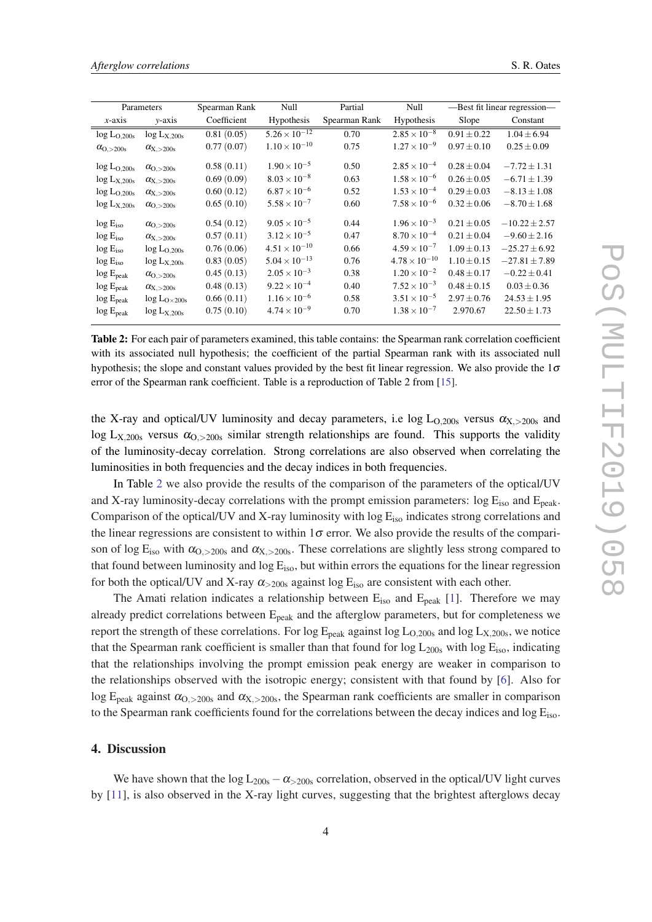<span id="page-4-0"></span>

| Parameters                |                                  | Spearman Rank | Null                   | Partial       | Null                   |                 | -Best fit linear regression- |  |
|---------------------------|----------------------------------|---------------|------------------------|---------------|------------------------|-----------------|------------------------------|--|
| $x$ -axis                 | $y-axis$                         | Coefficient   | Hypothesis             | Spearman Rank | Hypothesis             | Slope           | Constant                     |  |
| log L <sub>O,200s</sub>   | $log L_{X,200s}$                 | 0.81(0.05)    | $5.26 \times 10^{-12}$ | 0.70          | $2.85 \times 10^{-8}$  | $0.91 \pm 0.22$ | $1.04 \pm 6.94$              |  |
| $\alpha_{\text{O},>200s}$ | $\alpha_{\rm X, > 200s}$         | 0.77(0.07)    | $1.10 \times 10^{-10}$ | 0.75          | $1.27 \times 10^{-9}$  | $0.97 \pm 0.10$ | $0.25 \pm 0.09$              |  |
| log L <sub>O.200s</sub>   | $\alpha_{\text{O.}>200s}$        | 0.58(0.11)    | $1.90 \times 10^{-5}$  | 0.50          | $2.85 \times 10^{-4}$  | $0.28 + 0.04$   | $-7.72 + 1.31$               |  |
| $log L_{X,200s}$          | $\alpha_{\rm X, > 200s}$         | 0.69(0.09)    | $8.03 \times 10^{-8}$  | 0.63          | $1.58 \times 10^{-6}$  | $0.26 \pm 0.05$ | $-6.71 \pm 1.39$             |  |
| log L <sub>O.200s</sub>   | $\alpha_{\rm X, > 200s}$         | 0.60(0.12)    | $6.87 \times 10^{-6}$  | 0.52          | $1.53 \times 10^{-4}$  | $0.29 \pm 0.03$ | $-8.13 \pm 1.08$             |  |
| $log L_{X,200s}$          | $\alpha_{\text{O},\text{>200s}}$ | 0.65(0.10)    | $5.58 \times 10^{-7}$  | 0.60          | $7.58 \times 10^{-6}$  | $0.32 \pm 0.06$ | $-8.70 \pm 1.68$             |  |
| $log E_{iso}$             | $\alpha_{\text{O},>200s}$        | 0.54(0.12)    | $9.05 \times 10^{-5}$  | 0.44          | $1.96 \times 10^{-3}$  | $0.21 \pm 0.05$ | $-10.22 \pm 2.57$            |  |
| $log E_{iso}$             | $\alpha_{\rm X, > 200s}$         | 0.57(0.11)    | $3.12 \times 10^{-5}$  | 0.47          | $8.70 \times 10^{-4}$  | $0.21 \pm 0.04$ | $-9.60 \pm 2.16$             |  |
| $log E_{iso}$             | $log L_{O.200s}$                 | 0.76(0.06)    | $4.51 \times 10^{-10}$ | 0.66          | $4.59 \times 10^{-7}$  | $1.09 \pm 0.13$ | $-25.27 \pm 6.92$            |  |
| $log E_{iso}$             | $log L_{X,200s}$                 | 0.83(0.05)    | $5.04 \times 10^{-13}$ | 0.76          | $4.78 \times 10^{-10}$ | $1.10 \pm 0.15$ | $-27.81 \pm 7.89$            |  |
| $log E_{peak}$            | $\alpha_{\text{O.}>200s}$        | 0.45(0.13)    | $2.05 \times 10^{-3}$  | 0.38          | $1.20 \times 10^{-2}$  | $0.48 \pm 0.17$ | $-0.22 \pm 0.41$             |  |
| $log E_{peak}$            | $\alpha_{\rm X, > 200s}$         | 0.48(0.13)    | $9.22 \times 10^{-4}$  | 0.40          | $7.52 \times 10^{-3}$  | $0.48 \pm 0.15$ | $0.03 \pm 0.36$              |  |
| $log E_{peak}$            | $log L_{O\times 200s}$           | 0.66(0.11)    | $1.16 \times 10^{-6}$  | 0.58          | $3.51 \times 10^{-5}$  | $2.97 \pm 0.76$ | $24.53 \pm 1.95$             |  |
| $log E_{peak}$            | $log L_{X,200s}$                 | 0.75(0.10)    | $4.74 \times 10^{-9}$  | 0.70          | $1.38 \times 10^{-7}$  | 2.970.67        | $22.50 \pm 1.73$             |  |

Table 2: For each pair of parameters examined, this table contains: the Spearman rank correlation coefficient with its associated null hypothesis; the coefficient of the partial Spearman rank with its associated null hypothesis; the slope and constant values provided by the best fit linear regression. We also provide the  $1\sigma$ error of the Spearman rank coefficient. Table is a reproduction of Table 2 from [\[15](#page-9-0)].

the X-ray and optical/UV luminosity and decay parameters, i.e log  $L_{O,200s}$  versus  $\alpha_{X,>200s}$  and log  $L_{X,200s}$  versus  $\alpha_{\text{O},\geq 200s}$  similar strength relationships are found. This supports the validity of the luminosity-decay correlation. Strong correlations are also observed when correlating the luminosities in both frequencies and the decay indices in both frequencies.

In Table 2 we also provide the results of the comparison of the parameters of the optical/UV and X-ray luminosity-decay correlations with the prompt emission parameters:  $\log E_{\text{iso}}$  and  $E_{\text{peak}}$ . Comparison of the optical/UV and X-ray luminosity with  $\log E_{\text{iso}}$  indicates strong correlations and the linear regressions are consistent to within  $1\sigma$  error. We also provide the results of the comparison of log E<sub>iso</sub> with  $\alpha_{\Omega, >200s}$  and  $\alpha_{\text{X}, >200s}$ . These correlations are slightly less strong compared to that found between luminosity and  $\log E_{\text{iso}}$ , but within errors the equations for the linear regression for both the optical/UV and X-ray  $\alpha_{>200s}$  against log  $E_{iso}$  are consistent with each other.

The Amati relation indicates a relationship between  $E_{iso}$  and  $E_{peak}$  [[1\]](#page-8-0). Therefore we may already predict correlations between E<sub>peak</sub> and the afterglow parameters, but for completeness we report the strength of these correlations. For log  $E_{peak}$  against log  $L_{O,200s}$  and log  $L_{X,200s}$ , we notice that the Spearman rank coefficient is smaller than that found for  $\log L_{200s}$  with  $\log E_{iso}$ , indicating that the relationships involving the prompt emission peak energy are weaker in comparison to the relationships observed with the isotropic energy; consistent with that found by [\[6\]](#page-8-0). Also for log E<sub>peak</sub> against  $\alpha_{\text{O},\text{0}}$  and  $\alpha_{\text{X},\text{0}}$ , the Spearman rank coefficients are smaller in comparison to the Spearman rank coefficients found for the correlations between the decay indices and  $\log E_{\text{iso}}$ .

## 4. Discussion

We have shown that the log  $L_{200s} - \alpha_{>200s}$  correlation, observed in the optical/UV light curves by [\[11](#page-9-0)], is also observed in the X-ray light curves, suggesting that the brightest afterglows decay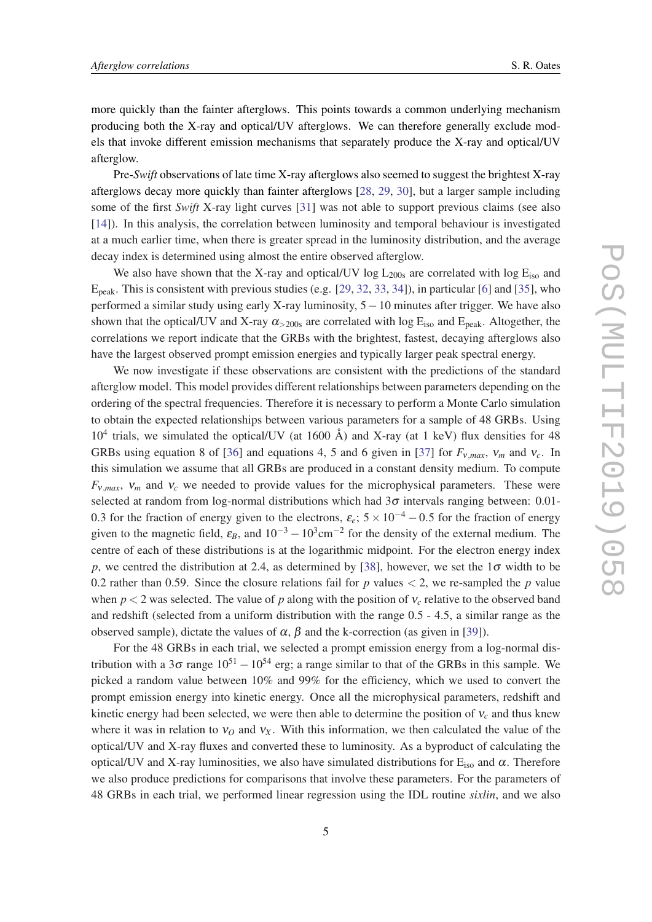more quickly than the fainter afterglows. This points towards a common underlying mechanism producing both the X-ray and optical/UV afterglows. We can therefore generally exclude models that invoke different emission mechanisms that separately produce the X-ray and optical/UV afterglow.

Pre-*Swift* observations of late time X-ray afterglows also seemed to suggest the brightest X-ray afterglows decay more quickly than fainter afterglows [[28,](#page-10-0) [29](#page-10-0), [30](#page-10-0)], but a larger sample including some of the first *Swift* X-ray light curves [[31\]](#page-10-0) was not able to support previous claims (see also [[14\]](#page-9-0)). In this analysis, the correlation between luminosity and temporal behaviour is investigated at a much earlier time, when there is greater spread in the luminosity distribution, and the average decay index is determined using almost the entire observed afterglow.

We also have shown that the X-ray and optical/UV log  $L_{200s}$  are correlated with log  $E_{iso}$  and Epeak. This is consistent with previous studies (e.g. [[29,](#page-10-0) [32,](#page-10-0) [33,](#page-10-0) [34\]](#page-10-0)), in particular [\[6\]](#page-8-0) and [\[35](#page-10-0)], who performed a similar study using early X-ray luminosity, 5−10 minutes after trigger. We have also shown that the optical/UV and X-ray  $\alpha_{>200s}$  are correlated with log  $E_{iso}$  and  $E_{peak}$ . Altogether, the correlations we report indicate that the GRBs with the brightest, fastest, decaying afterglows also have the largest observed prompt emission energies and typically larger peak spectral energy.

We now investigate if these observations are consistent with the predictions of the standard afterglow model. This model provides different relationships between parameters depending on the ordering of the spectral frequencies. Therefore it is necessary to perform a Monte Carlo simulation to obtain the expected relationships between various parameters for a sample of 48 GRBs. Using  $10<sup>4</sup>$  trials, we simulated the optical/UV (at 1600 Å) and X-ray (at 1 keV) flux densities for 48 GRBs using equation 8 of [\[36](#page-10-0)] and equations 4, 5 and 6 given in [\[37](#page-10-0)] for  $F_{v,max}$ ,  $v_m$  and  $v_c$ . In this simulation we assume that all GRBs are produced in a constant density medium. To compute  $F_{V,max}$ ,  $V_m$  and  $V_c$  we needed to provide values for the microphysical parameters. These were selected at random from log-normal distributions which had  $3\sigma$  intervals ranging between: 0.01-0.3 for the fraction of energy given to the electrons,  $\varepsilon_e$ ;  $5 \times 10^{-4} - 0.5$  for the fraction of energy given to the magnetic field,  $\varepsilon_B$ , and  $10^{-3} - 10^3$ cm<sup>-2</sup> for the density of the external medium. The centre of each of these distributions is at the logarithmic midpoint. For the electron energy index *p*, we centred the distribution at 2.4, as determined by [\[38](#page-10-0)], however, we set the  $1\sigma$  width to be 0.2 rather than 0.59. Since the closure relations fail for  $p$  values  $\lt 2$ , we re-sampled the  $p$  value when  $p < 2$  was selected. The value of p along with the position of  $v_c$  relative to the observed band and redshift (selected from a uniform distribution with the range 0.5 - 4.5, a similar range as the observed sample), dictate the values of  $\alpha$ ,  $\beta$  and the k-correction (as given in [[39\]](#page-10-0)).

For the 48 GRBs in each trial, we selected a prompt emission energy from a log-normal distribution with a 3 $\sigma$  range 10<sup>51</sup> − 10<sup>54</sup> erg; a range similar to that of the GRBs in this sample. We picked a random value between 10% and 99% for the efficiency, which we used to convert the prompt emission energy into kinetic energy. Once all the microphysical parameters, redshift and kinetic energy had been selected, we were then able to determine the position of ν*<sup>c</sup>* and thus knew where it was in relation to  $v<sub>O</sub>$  and  $v<sub>X</sub>$ . With this information, we then calculated the value of the optical/UV and X-ray fluxes and converted these to luminosity. As a byproduct of calculating the optical/UV and X-ray luminosities, we also have simulated distributions for  $E<sub>iso</sub>$  and α. Therefore we also produce predictions for comparisons that involve these parameters. For the parameters of 48 GRBs in each trial, we performed linear regression using the IDL routine *sixlin*, and we also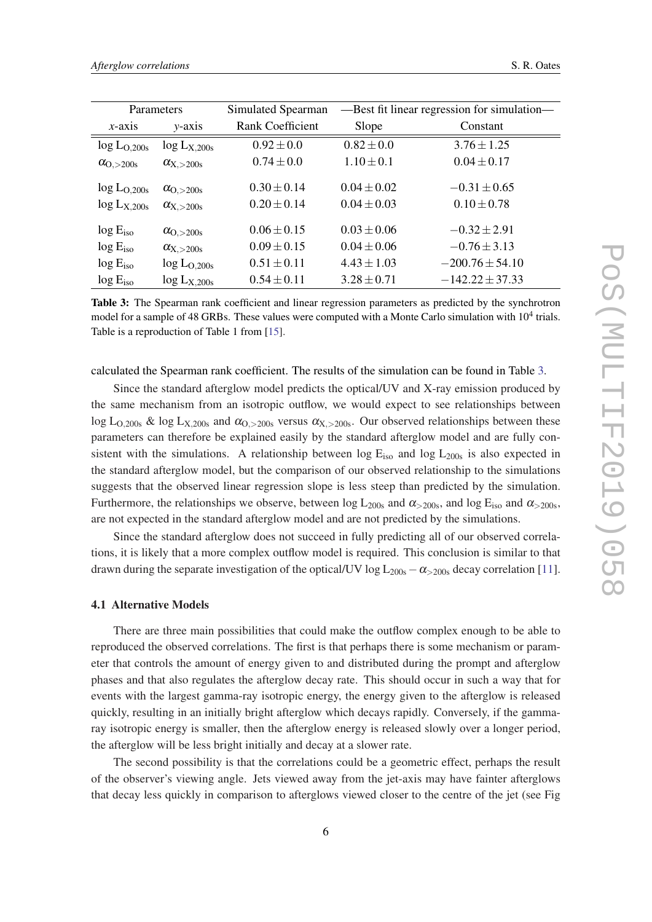| Parameters                       |                                  | Simulated Spearman      | -Best fit linear regression for simulation- |                     |  |  |
|----------------------------------|----------------------------------|-------------------------|---------------------------------------------|---------------------|--|--|
| $x$ -axis                        | $v$ -axis                        | <b>Rank Coefficient</b> | Slope                                       | Constant            |  |  |
| log L <sub>O.200s</sub>          | $log L_{X,200s}$                 | $0.92 \pm 0.0$          | $0.82 \pm 0.0$                              | $3.76 \pm 1.25$     |  |  |
| $\alpha_{\text{O},\text{>200s}}$ | $\alpha_{\rm X, > 200s}$         | $0.74 \pm 0.0$          | $1.10 \pm 0.1$                              | $0.04 \pm 0.17$     |  |  |
| log L <sub>O,200s</sub>          | $\alpha_{\text{O},\text{>200s}}$ | $0.30 \pm 0.14$         | $0.04 \pm 0.02$                             | $-0.31 \pm 0.65$    |  |  |
| $log L_{X,200s}$                 | $\alpha_{\rm X,>200s}$           | $0.20 \pm 0.14$         | $0.04 \pm 0.03$                             | $0.10 \pm 0.78$     |  |  |
| $log E_{iso}$                    | $\alpha_{\text{O},\text{>200s}}$ | $0.06 \pm 0.15$         | $0.03 \pm 0.06$                             | $-0.32 \pm 2.91$    |  |  |
| $log E_{iso}$                    | $\alpha_{\text{X},\text{>200s}}$ | $0.09 \pm 0.15$         | $0.04 \pm 0.06$                             | $-0.76 \pm 3.13$    |  |  |
| $log E_{iso}$                    | log L <sub>O.200s</sub>          | $0.51 \pm 0.11$         | $4.43 \pm 1.03$                             | $-200.76 \pm 54.10$ |  |  |
| $log E_{iso}$                    | $log L_{X,200s}$                 | $0.54 \pm 0.11$         | $3.28 \pm 0.71$                             | $-142.22 \pm 37.33$ |  |  |

Table 3: The Spearman rank coefficient and linear regression parameters as predicted by the synchrotron model for a sample of 48 GRBs. These values were computed with a Monte Carlo simulation with  $10^4$  trials. Table is a reproduction of Table 1 from [[15\]](#page-9-0).

#### calculated the Spearman rank coefficient. The results of the simulation can be found in Table 3.

Since the standard afterglow model predicts the optical/UV and X-ray emission produced by the same mechanism from an isotropic outflow, we would expect to see relationships between  $\log L_{\rm O,200s}$  & log  $L_{\rm X,200s}$  and  $\alpha_{\rm O,200s}$  versus  $\alpha_{\rm X,200s}$ . Our observed relationships between these parameters can therefore be explained easily by the standard afterglow model and are fully consistent with the simulations. A relationship between  $\log E_{\text{iso}}$  and  $\log L_{200s}$  is also expected in the standard afterglow model, but the comparison of our observed relationship to the simulations suggests that the observed linear regression slope is less steep than predicted by the simulation. Furthermore, the relationships we observe, between log  $L_{200s}$  and  $\alpha_{>200s}$ , and log  $E_{iso}$  and  $\alpha_{>200s}$ , are not expected in the standard afterglow model and are not predicted by the simulations.

Since the standard afterglow does not succeed in fully predicting all of our observed correlations, it is likely that a more complex outflow model is required. This conclusion is similar to that drawn during the separate investigation of the optical/UV log  $L_{200s} - \alpha_{>200s}$  decay correlation [[11\]](#page-9-0).

#### 4.1 Alternative Models

There are three main possibilities that could make the outflow complex enough to be able to reproduced the observed correlations. The first is that perhaps there is some mechanism or parameter that controls the amount of energy given to and distributed during the prompt and afterglow phases and that also regulates the afterglow decay rate. This should occur in such a way that for events with the largest gamma-ray isotropic energy, the energy given to the afterglow is released quickly, resulting in an initially bright afterglow which decays rapidly. Conversely, if the gammaray isotropic energy is smaller, then the afterglow energy is released slowly over a longer period, the afterglow will be less bright initially and decay at a slower rate.

The second possibility is that the correlations could be a geometric effect, perhaps the result of the observer's viewing angle. Jets viewed away from the jet-axis may have fainter afterglows that decay less quickly in comparison to afterglows viewed closer to the centre of the jet (see Fig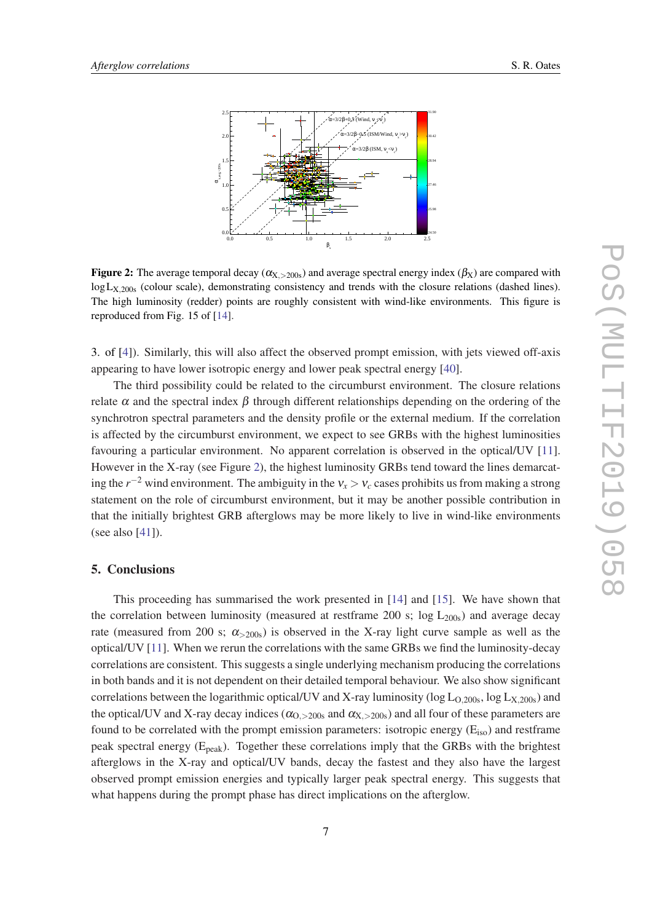

**Figure 2:** The average temporal decay ( $\alpha_{X, > 200s}$ ) and average spectral energy index ( $\beta_X$ ) are compared with  $logL_{X,200s}$  (colour scale), demonstrating consistency and trends with the closure relations (dashed lines). The high luminosity (redder) points are roughly consistent with wind-like environments. This figure is reproduced from Fig. 15 of [[14\]](#page-9-0).

3. of [[4](#page-8-0)]). Similarly, this will also affect the observed prompt emission, with jets viewed off-axis appearing to have lower isotropic energy and lower peak spectral energy [\[40](#page-11-0)].

The third possibility could be related to the circumburst environment. The closure relations relate  $\alpha$  and the spectral index  $\beta$  through different relationships depending on the ordering of the synchrotron spectral parameters and the density profile or the external medium. If the correlation is affected by the circumburst environment, we expect to see GRBs with the highest luminosities favouring a particular environment. No apparent correlation is observed in the optical/UV [[11\]](#page-9-0). However in the X-ray (see Figure 2), the highest luminosity GRBs tend toward the lines demarcating the  $r^{-2}$  wind environment. The ambiguity in the  $v_x > v_c$  cases prohibits us from making a strong statement on the role of circumburst environment, but it may be another possible contribution in that the initially brightest GRB afterglows may be more likely to live in wind-like environments (see also [[41](#page-11-0)]).

## 5. Conclusions

This proceeding has summarised the work presented in [\[14](#page-9-0)] and [[15\]](#page-9-0). We have shown that the correlation between luminosity (measured at restframe 200 s; log  $L_{200s}$ ) and average decay rate (measured from 200 s;  $\alpha_{>200s}$ ) is observed in the X-ray light curve sample as well as the optical/UV [[11\]](#page-9-0). When we rerun the correlations with the same GRBs we find the luminosity-decay correlations are consistent. This suggests a single underlying mechanism producing the correlations in both bands and it is not dependent on their detailed temporal behaviour. We also show significant correlations between the logarithmic optical/UV and X-ray luminosity ( $log L_{O,200s}$ ,  $log L_{X,200s}$ ) and the optical/UV and X-ray decay indices ( $\alpha_{\text{O},\text{v}}$  and  $\alpha_{\text{X},\text{v}}$ ) and all four of these parameters are found to be correlated with the prompt emission parameters: isotropic energy  $(E_{iso})$  and restframe peak spectral energy  $(E_{peak})$ . Together these correlations imply that the GRBs with the brightest afterglows in the X-ray and optical/UV bands, decay the fastest and they also have the largest observed prompt emission energies and typically larger peak spectral energy. This suggests that what happens during the prompt phase has direct implications on the afterglow.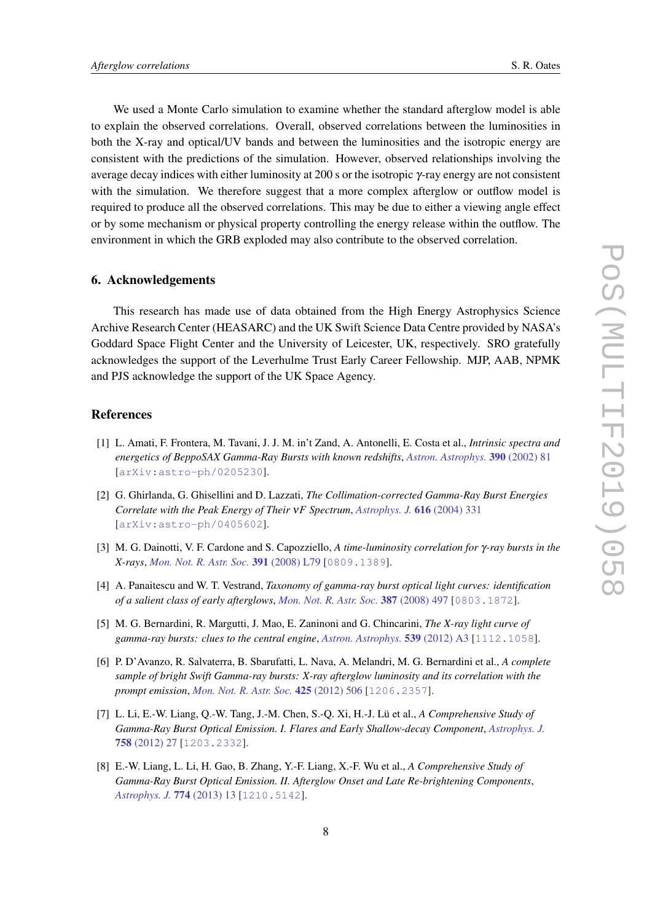<span id="page-8-0"></span>We used a Monte Carlo simulation to examine whether the standard afterglow model is able to explain the observed correlations. Overall, observed correlations between the luminosities in both the X-ray and optical/UV bands and between the luminosities and the isotropic energy are consistent with the predictions of the simulation. However, observed relationships involving the average decay indices with either luminosity at 200 s or the isotropic  $\gamma$ -ray energy are not consistent with the simulation. We therefore suggest that a more complex afterglow or outflow model is required to produce all the observed correlations. This may be due to either a viewing angle effect or by some mechanism or physical property controlling the energy release within the outflow. The environment in which the GRB exploded may also contribute to the observed correlation.

# 6. Acknowledgements

This research has made use of data obtained from the High Energy Astrophysics Science Archive Research Center (HEASARC) and the UK Swift Science Data Centre provided by NASA's Goddard Space Flight Center and the University of Leicester, UK, respectively. SRO gratefully acknowledges the support of the Leverhulme Trust Early Career Fellowship. MJP, AAB, NPMK and PJS acknowledge the support of the UK Space Agency.

## References

- [1] L. Amati, F. Frontera, M. Tavani, J. J. M. in't Zand, A. Antonelli, E. Costa et al., *Intrinsic spectra and energetics of BeppoSAX Gamma-Ray Bursts with known redshifts*, *[Astron. Astrophys.](https://doi.org/10.1051/0004-6361:20020722)* 390 (2002) 81 [[arXiv:astro-ph/0205230](https://arxiv.org/abs/arXiv:astro-ph/0205230)].
- [2] G. Ghirlanda, G. Ghisellini and D. Lazzati, *The Collimation-corrected Gamma-Ray Burst Energies Correlate with the Peak Energy of Their* ν*F Spectrum*, *[Astrophys. J.](https://doi.org/10.1086/424913)* 616 (2004) 331 [[arXiv:astro-ph/0405602](https://arxiv.org/abs/arXiv:astro-ph/0405602)].
- [3] M. G. Dainotti, V. F. Cardone and S. Capozziello, *A time-luminosity correlation for* γ*-ray bursts in the X-rays*, *[Mon. Not. R. Astr. Soc.](https://doi.org/10.1111/j.1745-3933.2008.00560.x)* 391 (2008) L79 [[0809.1389](https://arxiv.org/abs/0809.1389)].
- [4] A. Panaitescu and W. T. Vestrand, *Taxonomy of gamma-ray burst optical light curves: identification of a salient class of early afterglows*, *[Mon. Not. R. Astr. Soc.](https://doi.org/10.1111/j.1365-2966.2008.13231.x)* 387 (2008) 497 [[0803.1872](https://arxiv.org/abs/0803.1872)].
- [5] M. G. Bernardini, R. Margutti, J. Mao, E. Zaninoni and G. Chincarini, *The X-ray light curve of gamma-ray bursts: clues to the central engine*, *[Astron. Astrophys.](https://doi.org/10.1051/0004-6361/201117895)* 539 (2012) A3 [[1112.1058](https://arxiv.org/abs/1112.1058)].
- [6] P. D'Avanzo, R. Salvaterra, B. Sbarufatti, L. Nava, A. Melandri, M. G. Bernardini et al., *A complete sample of bright Swift Gamma-ray bursts: X-ray afterglow luminosity and its correlation with the prompt emission*, *[Mon. Not. R. Astr. Soc.](https://doi.org/10.1111/j.1365-2966.2012.21489.x)* 425 (2012) 506 [[1206.2357](https://arxiv.org/abs/1206.2357)].
- [7] L. Li, E.-W. Liang, Q.-W. Tang, J.-M. Chen, S.-Q. Xi, H.-J. Lü et al., *A Comprehensive Study of Gamma-Ray Burst Optical Emission. I. Flares and Early Shallow-decay Component*, *[Astrophys. J.](https://doi.org/10.1088/0004-637X/758/1/27)* 758 [\(2012\) 27](https://doi.org/10.1088/0004-637X/758/1/27) [[1203.2332](https://arxiv.org/abs/1203.2332)].
- [8] E.-W. Liang, L. Li, H. Gao, B. Zhang, Y.-F. Liang, X.-F. Wu et al., *A Comprehensive Study of Gamma-Ray Burst Optical Emission. II. Afterglow Onset and Late Re-brightening Components*, *[Astrophys. J.](https://doi.org/10.1088/0004-637X/774/1/13)* 774 (2013) 13 [[1210.5142](https://arxiv.org/abs/1210.5142)].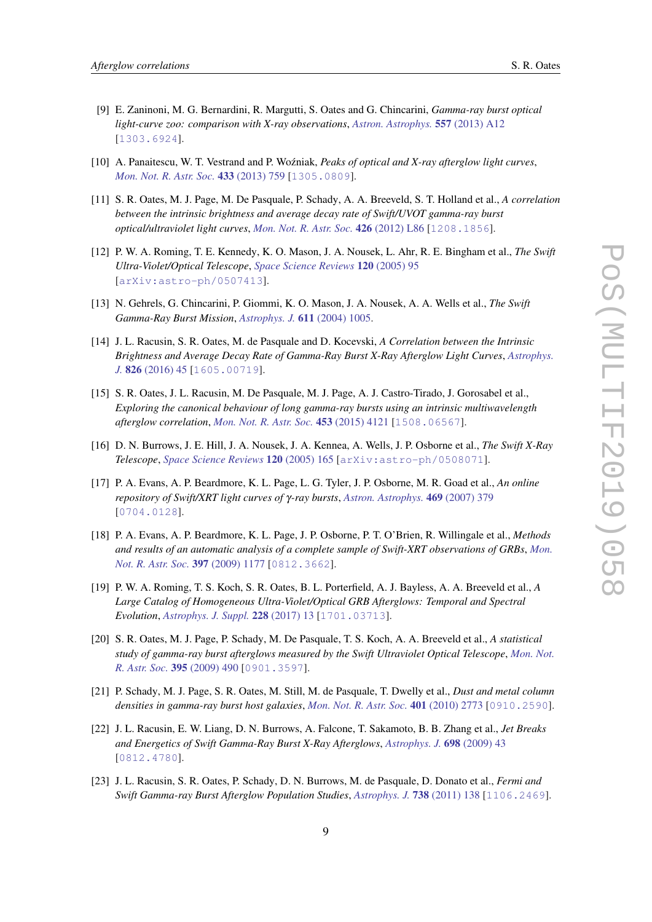- <span id="page-9-0"></span>[9] E. Zaninoni, M. G. Bernardini, R. Margutti, S. Oates and G. Chincarini, *Gamma-ray burst optical light-curve zoo: comparison with X-ray observations*, *[Astron. Astrophys.](https://doi.org/10.1051/0004-6361/201321221)* 557 (2013) A12 [[1303.6924](https://arxiv.org/abs/1303.6924)].
- [10] A. Panaitescu, W. T. Vestrand and P. Wo´zniak, *Peaks of optical and X-ray afterglow light curves*, *[Mon. Not. R. Astr. Soc.](https://doi.org/10.1093/mnras/stt769)* 433 (2013) 759 [[1305.0809](https://arxiv.org/abs/1305.0809)].
- [11] S. R. Oates, M. J. Page, M. De Pasquale, P. Schady, A. A. Breeveld, S. T. Holland et al., *A correlation between the intrinsic brightness and average decay rate of Swift/UVOT gamma-ray burst optical/ultraviolet light curves*, *[Mon. Not. R. Astr. Soc.](https://doi.org/10.1111/j.1745-3933.2012.01331.x)* 426 (2012) L86 [[1208.1856](https://arxiv.org/abs/1208.1856)].
- [12] P. W. A. Roming, T. E. Kennedy, K. O. Mason, J. A. Nousek, L. Ahr, R. E. Bingham et al., *The Swift Ultra-Violet/Optical Telescope*, *[Space Science Reviews](https://doi.org/10.1007/s11214-005-5095-4)* 120 (2005) 95 [[arXiv:astro-ph/0507413](https://arxiv.org/abs/arXiv:astro-ph/0507413)].
- [13] N. Gehrels, G. Chincarini, P. Giommi, K. O. Mason, J. A. Nousek, A. A. Wells et al., *The Swift Gamma-Ray Burst Mission*, *[Astrophys. J.](https://doi.org/10.1086/422091)* 611 (2004) 1005.
- [14] J. L. Racusin, S. R. Oates, M. de Pasquale and D. Kocevski, *A Correlation between the Intrinsic Brightness and Average Decay Rate of Gamma-Ray Burst X-Ray Afterglow Light Curves*, *[Astrophys.](https://doi.org/10.3847/0004-637X/826/1/45) J.* 826 [\(2016\) 45](https://doi.org/10.3847/0004-637X/826/1/45) [[1605.00719](https://arxiv.org/abs/1605.00719)].
- [15] S. R. Oates, J. L. Racusin, M. De Pasquale, M. J. Page, A. J. Castro-Tirado, J. Gorosabel et al., *Exploring the canonical behaviour of long gamma-ray bursts using an intrinsic multiwavelength afterglow correlation*, *[Mon. Not. R. Astr. Soc.](https://doi.org/10.1093/mnras/stv1956)* 453 (2015) 4121 [[1508.06567](https://arxiv.org/abs/1508.06567)].
- [16] D. N. Burrows, J. E. Hill, J. A. Nousek, J. A. Kennea, A. Wells, J. P. Osborne et al., *The Swift X-Ray Telescope*, *[Space Science Reviews](https://doi.org/10.1007/s11214-005-5097-2)* 120 (2005) 165 [[arXiv:astro-ph/0508071](https://arxiv.org/abs/arXiv:astro-ph/0508071)].
- [17] P. A. Evans, A. P. Beardmore, K. L. Page, L. G. Tyler, J. P. Osborne, M. R. Goad et al., *An online repository of Swift/XRT light curves of* γ*-ray bursts*, *[Astron. Astrophys.](https://doi.org/10.1051/0004-6361:20077530)* 469 (2007) 379 [[0704.0128](https://arxiv.org/abs/0704.0128)].
- [18] P. A. Evans, A. P. Beardmore, K. L. Page, J. P. Osborne, P. T. O'Brien, R. Willingale et al., *Methods and results of an automatic analysis of a complete sample of Swift-XRT observations of GRBs*, *[Mon.](https://doi.org/10.1111/j.1365-2966.2009.14913.x) [Not. R. Astr. Soc.](https://doi.org/10.1111/j.1365-2966.2009.14913.x)* 397 (2009) 1177 [[0812.3662](https://arxiv.org/abs/0812.3662)].
- [19] P. W. A. Roming, T. S. Koch, S. R. Oates, B. L. Porterfield, A. J. Bayless, A. A. Breeveld et al., *A Large Catalog of Homogeneous Ultra-Violet/Optical GRB Afterglows: Temporal and Spectral Evolution*, *[Astrophys. J. Suppl.](https://doi.org/10.3847/1538-4365/228/2/13)* 228 (2017) 13 [[1701.03713](https://arxiv.org/abs/1701.03713)].
- [20] S. R. Oates, M. J. Page, P. Schady, M. De Pasquale, T. S. Koch, A. A. Breeveld et al., *A statistical study of gamma-ray burst afterglows measured by the Swift Ultraviolet Optical Telescope*, *[Mon. Not.](https://doi.org/10.1111/j.1365-2966.2009.14544.x) [R. Astr. Soc.](https://doi.org/10.1111/j.1365-2966.2009.14544.x)* 395 (2009) 490 [[0901.3597](https://arxiv.org/abs/0901.3597)].
- [21] P. Schady, M. J. Page, S. R. Oates, M. Still, M. de Pasquale, T. Dwelly et al., *Dust and metal column densities in gamma-ray burst host galaxies*, *[Mon. Not. R. Astr. Soc.](https://doi.org/10.1111/j.1365-2966.2009.15861.x)* 401 (2010) 2773 [[0910.2590](https://arxiv.org/abs/0910.2590)].
- [22] J. L. Racusin, E. W. Liang, D. N. Burrows, A. Falcone, T. Sakamoto, B. B. Zhang et al., *Jet Breaks and Energetics of Swift Gamma-Ray Burst X-Ray Afterglows*, *[Astrophys. J.](https://doi.org/10.1088/0004-637X/698/1/43)* 698 (2009) 43 [[0812.4780](https://arxiv.org/abs/0812.4780)].
- [23] J. L. Racusin, S. R. Oates, P. Schady, D. N. Burrows, M. de Pasquale, D. Donato et al., *Fermi and Swift Gamma-ray Burst Afterglow Population Studies*, *[Astrophys. J.](https://doi.org/10.1088/0004-637X/738/2/138)* 738 (2011) 138 [[1106.2469](https://arxiv.org/abs/1106.2469)].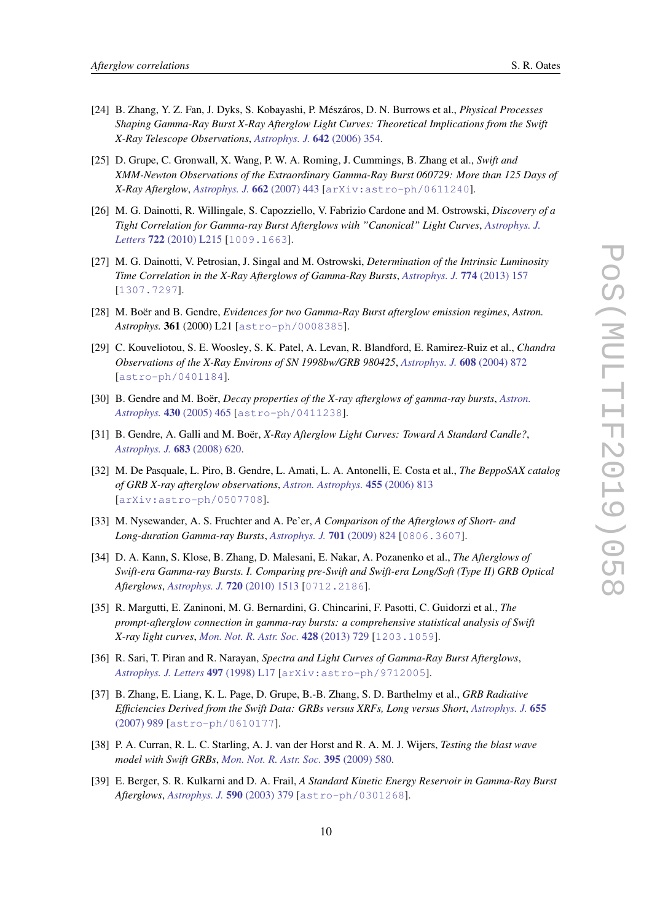- <span id="page-10-0"></span>[24] B. Zhang, Y. Z. Fan, J. Dyks, S. Kobayashi, P. Mészáros, D. N. Burrows et al., *Physical Processes Shaping Gamma-Ray Burst X-Ray Afterglow Light Curves: Theoretical Implications from the Swift X-Ray Telescope Observations*, *[Astrophys. J.](https://doi.org/10.1086/500723)* 642 (2006) 354.
- [25] D. Grupe, C. Gronwall, X. Wang, P. W. A. Roming, J. Cummings, B. Zhang et al., *Swift and XMM-Newton Observations of the Extraordinary Gamma-Ray Burst 060729: More than 125 Days of X-Ray Afterglow*, *[Astrophys. J.](https://doi.org/10.1086/517868)* 662 (2007) 443 [[arXiv:astro-ph/0611240](https://arxiv.org/abs/arXiv:astro-ph/0611240)].
- [26] M. G. Dainotti, R. Willingale, S. Capozziello, V. Fabrizio Cardone and M. Ostrowski, *Discovery of a Tight Correlation for Gamma-ray Burst Afterglows with "Canonical" Light Curves*, *[Astrophys. J.](https://doi.org/10.1088/2041-8205/722/2/L215) Letters* 722 [\(2010\) L215](https://doi.org/10.1088/2041-8205/722/2/L215) [[1009.1663](https://arxiv.org/abs/1009.1663)].
- [27] M. G. Dainotti, V. Petrosian, J. Singal and M. Ostrowski, *Determination of the Intrinsic Luminosity Time Correlation in the X-Ray Afterglows of Gamma-Ray Bursts*, *[Astrophys. J.](https://doi.org/10.1088/0004-637X/774/2/157)* 774 (2013) 157 [[1307.7297](https://arxiv.org/abs/1307.7297)].
- [28] M. Boër and B. Gendre, *Evidences for two Gamma-Ray Burst afterglow emission regimes*, *Astron. Astrophys.* 361 (2000) L21 [[astro-ph/0008385](https://arxiv.org/abs/astro-ph/0008385)].
- [29] C. Kouveliotou, S. E. Woosley, S. K. Patel, A. Levan, R. Blandford, E. Ramirez-Ruiz et al., *Chandra Observations of the X-Ray Environs of SN 1998bw/GRB 980425*, *[Astrophys. J.](https://doi.org/10.1086/420878)* 608 (2004) 872 [[astro-ph/0401184](https://arxiv.org/abs/astro-ph/0401184)].
- [30] B. Gendre and M. Boër, *Decay properties of the X-ray afterglows of gamma-ray bursts*, *[Astron.](https://doi.org/10.1051/0004-6361:20042031) Astrophys.* 430 [\(2005\) 465](https://doi.org/10.1051/0004-6361:20042031) [[astro-ph/0411238](https://arxiv.org/abs/astro-ph/0411238)].
- [31] B. Gendre, A. Galli and M. Boër, *X-Ray Afterglow Light Curves: Toward A Standard Candle?*, *[Astrophys. J.](https://doi.org/10.1086/589805)* 683 (2008) 620.
- [32] M. De Pasquale, L. Piro, B. Gendre, L. Amati, L. A. Antonelli, E. Costa et al., *The BeppoSAX catalog of GRB X-ray afterglow observations*, *[Astron. Astrophys.](https://doi.org/10.1051/0004-6361:20053950)* 455 (2006) 813 [[arXiv:astro-ph/0507708](https://arxiv.org/abs/arXiv:astro-ph/0507708)].
- [33] M. Nysewander, A. S. Fruchter and A. Pe'er, *A Comparison of the Afterglows of Short- and Long-duration Gamma-ray Bursts*, *[Astrophys. J.](https://doi.org/10.1088/0004-637X/701/1/824)* 701 (2009) 824 [[0806.3607](https://arxiv.org/abs/0806.3607)].
- [34] D. A. Kann, S. Klose, B. Zhang, D. Malesani, E. Nakar, A. Pozanenko et al., *The Afterglows of Swift-era Gamma-ray Bursts. I. Comparing pre-Swift and Swift-era Long/Soft (Type II) GRB Optical Afterglows*, *[Astrophys. J.](https://doi.org/10.1088/0004-637X/720/2/1513)* 720 (2010) 1513 [[0712.2186](https://arxiv.org/abs/0712.2186)].
- [35] R. Margutti, E. Zaninoni, M. G. Bernardini, G. Chincarini, F. Pasotti, C. Guidorzi et al., *The prompt-afterglow connection in gamma-ray bursts: a comprehensive statistical analysis of Swift X-ray light curves*, *[Mon. Not. R. Astr. Soc.](https://doi.org/10.1093/mnras/sts066)* 428 (2013) 729 [[1203.1059](https://arxiv.org/abs/1203.1059)].
- [36] R. Sari, T. Piran and R. Narayan, *Spectra and Light Curves of Gamma-Ray Burst Afterglows*, *[Astrophys. J. Letters](https://doi.org/10.1086/311269)* 497 (1998) L17 [[arXiv:astro-ph/9712005](https://arxiv.org/abs/arXiv:astro-ph/9712005)].
- [37] B. Zhang, E. Liang, K. L. Page, D. Grupe, B.-B. Zhang, S. D. Barthelmy et al., *GRB Radiative Efficiencies Derived from the Swift Data: GRBs versus XRFs, Long versus Short*, *[Astrophys. J.](https://doi.org/10.1086/510110)* 655 [\(2007\) 989](https://doi.org/10.1086/510110) [[astro-ph/0610177](https://arxiv.org/abs/astro-ph/0610177)].
- [38] P. A. Curran, R. L. C. Starling, A. J. van der Horst and R. A. M. J. Wijers, *Testing the blast wave model with Swift GRBs*, *[Mon. Not. R. Astr. Soc.](https://doi.org/10.1111/j.1365-2966.2009.14578.x)* 395 (2009) 580.
- [39] E. Berger, S. R. Kulkarni and D. A. Frail, *A Standard Kinetic Energy Reservoir in Gamma-Ray Burst Afterglows*, *[Astrophys. J.](https://doi.org/10.1086/374892)* 590 (2003) 379 [[astro-ph/0301268](https://arxiv.org/abs/astro-ph/0301268)].